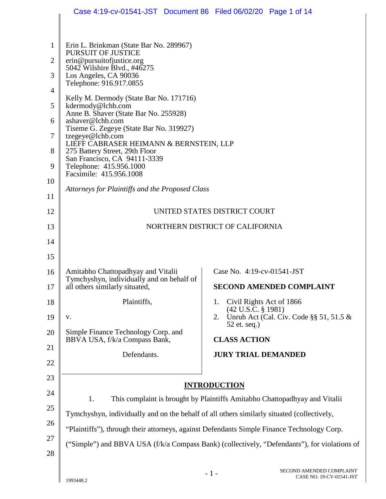|                |                                                                                                                                                                                          | Case 4:19-cv-01541-JST Document 86 Filed 06/02/20 Page 1 of 14                               |  |  |
|----------------|------------------------------------------------------------------------------------------------------------------------------------------------------------------------------------------|----------------------------------------------------------------------------------------------|--|--|
|                |                                                                                                                                                                                          |                                                                                              |  |  |
| 1              | Erin L. Brinkman (State Bar No. 289967)<br><b>PURSUIT OF JUSTICE</b>                                                                                                                     |                                                                                              |  |  |
| $\overline{2}$ | erin@pursuitofjustice.org<br>5042 Wilshire Blvd., #46275                                                                                                                                 |                                                                                              |  |  |
| 3              | Los Angeles, CA 90036<br>Telephone: 916.917.0855                                                                                                                                         |                                                                                              |  |  |
| $\overline{4}$ | Kelly M. Dermody (State Bar No. 171716)                                                                                                                                                  |                                                                                              |  |  |
| 5              | kdermody@lchb.com                                                                                                                                                                        |                                                                                              |  |  |
| 6              | Anne B. Shaver (State Bar No. 255928)<br>ashaver@lchb.com                                                                                                                                |                                                                                              |  |  |
| 7              | Tiseme G. Zegeye (State Bar No. 319927)<br>tzegeye@lchb.com                                                                                                                              |                                                                                              |  |  |
| 8              | LIEFF CABRASER HEIMANN & BERNSTEIN, LLP<br>275 Battery Street, 29th Floor                                                                                                                |                                                                                              |  |  |
| 9              | San Francisco, CA 94111-3339<br>Telephone: 415.956.1000                                                                                                                                  |                                                                                              |  |  |
| 10             | Facsimile: 415.956.1008                                                                                                                                                                  |                                                                                              |  |  |
| 11             | Attorneys for Plaintiffs and the Proposed Class                                                                                                                                          |                                                                                              |  |  |
| 12             | UNITED STATES DISTRICT COURT                                                                                                                                                             |                                                                                              |  |  |
| 13             | NORTHERN DISTRICT OF CALIFORNIA                                                                                                                                                          |                                                                                              |  |  |
| 14             |                                                                                                                                                                                          |                                                                                              |  |  |
| 15             |                                                                                                                                                                                          |                                                                                              |  |  |
| 16             | Amitabho Chattopadhyay and Vitalii                                                                                                                                                       | Case No. 4:19-cv-01541-JST                                                                   |  |  |
| 17             | Tymchyshyn, individually and on behalf of<br>all others similarly situated,                                                                                                              | <b>SECOND AMENDED COMPLAINT</b>                                                              |  |  |
| 18             | Plaintiffs,                                                                                                                                                                              | Civil Rights Act of 1866<br>1.<br>$(42 \text{ U.S.C. } § 1981)$                              |  |  |
| 19             | V.                                                                                                                                                                                       | Unruh Act (Cal. Civ. Code $\S$ § 51, 51.5 &<br>2.<br>52 et. seq.)                            |  |  |
| 20             | Simple Finance Technology Corp. and<br>BBVA USA, f/k/a Compass Bank,                                                                                                                     | <b>CLASS ACTION</b>                                                                          |  |  |
| 21             | Defendants.                                                                                                                                                                              | <b>JURY TRIAL DEMANDED</b>                                                                   |  |  |
| 22             |                                                                                                                                                                                          |                                                                                              |  |  |
| 23             |                                                                                                                                                                                          |                                                                                              |  |  |
| 24             | <b>INTRODUCTION</b>                                                                                                                                                                      |                                                                                              |  |  |
| 25             | This complaint is brought by Plaintiffs Amitabho Chattopadhyay and Vitalii<br>1.                                                                                                         |                                                                                              |  |  |
| 26             | Tymchyshyn, individually and on the behalf of all others similarly situated (collectively,<br>"Plaintiffs"), through their attorneys, against Defendants Simple Finance Technology Corp. |                                                                                              |  |  |
| 27             |                                                                                                                                                                                          |                                                                                              |  |  |
| 28             |                                                                                                                                                                                          | ("Simple") and BBVA USA (f/k/a Compass Bank) (collectively, "Defendants"), for violations of |  |  |
|                |                                                                                                                                                                                          | SECOND AMENDED COMPLAINT                                                                     |  |  |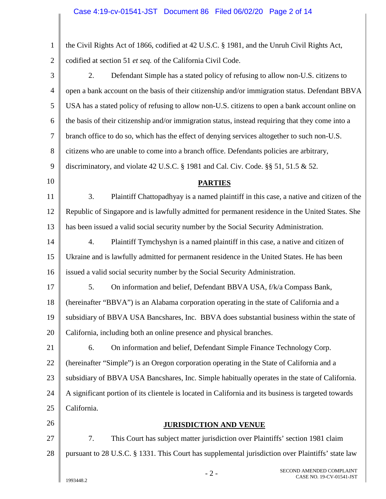| $\mathbf{1}$   | the Civil Rights Act of 1866, codified at 42 U.S.C. § 1981, and the Unruh Civil Rights Act,          |  |  |  |
|----------------|------------------------------------------------------------------------------------------------------|--|--|--|
| $\overline{2}$ | codified at section 51 et seq. of the California Civil Code.                                         |  |  |  |
| 3              | Defendant Simple has a stated policy of refusing to allow non-U.S. citizens to<br>2.                 |  |  |  |
| 4              | open a bank account on the basis of their citizenship and/or immigration status. Defendant BBVA      |  |  |  |
| 5              | USA has a stated policy of refusing to allow non-U.S. citizens to open a bank account online on      |  |  |  |
| 6              | the basis of their citizenship and/or immigration status, instead requiring that they come into a    |  |  |  |
| $\tau$         | branch office to do so, which has the effect of denying services altogether to such non-U.S.         |  |  |  |
| $8\,$          | citizens who are unable to come into a branch office. Defendants policies are arbitrary,             |  |  |  |
| 9              | discriminatory, and violate 42 U.S.C. § 1981 and Cal. Civ. Code. § § 51, 51.5 $\&$ 52.               |  |  |  |
| 10             | <b>PARTIES</b>                                                                                       |  |  |  |
| 11             | 3.<br>Plaintiff Chattopadhyay is a named plaintiff in this case, a native and citizen of the         |  |  |  |
| 12             | Republic of Singapore and is lawfully admitted for permanent residence in the United States. She     |  |  |  |
| 13             | has been issued a valid social security number by the Social Security Administration.                |  |  |  |
| 14             | Plaintiff Tymchyshyn is a named plaintiff in this case, a native and citizen of<br>4.                |  |  |  |
| 15             | Ukraine and is lawfully admitted for permanent residence in the United States. He has been           |  |  |  |
| 16             | issued a valid social security number by the Social Security Administration.                         |  |  |  |
| 17             | 5.<br>On information and belief, Defendant BBVA USA, f/k/a Compass Bank,                             |  |  |  |
| 18             | (hereinafter "BBVA") is an Alabama corporation operating in the state of California and a            |  |  |  |
| 19             | subsidiary of BBVA USA Bancshares, Inc. BBVA does substantial business within the state of           |  |  |  |
| 20             | California, including both an online presence and physical branches.                                 |  |  |  |
| 21             | 6.<br>On information and belief, Defendant Simple Finance Technology Corp.                           |  |  |  |
| 22             | (hereinafter "Simple") is an Oregon corporation operating in the State of California and a           |  |  |  |
| 23             | subsidiary of BBVA USA Bancshares, Inc. Simple habitually operates in the state of California.       |  |  |  |
| 24             | A significant portion of its clientele is located in California and its business is targeted towards |  |  |  |
| 25             | California.                                                                                          |  |  |  |
| 26             | <b>JURISDICTION AND VENUE</b>                                                                        |  |  |  |
| 27             | 7.<br>This Court has subject matter jurisdiction over Plaintiffs' section 1981 claim                 |  |  |  |
| 28             | pursuant to 28 U.S.C. § 1331. This Court has supplemental jurisdiction over Plaintiffs' state law    |  |  |  |
|                | SECOND AMENDED COMPLAINT<br>◠                                                                        |  |  |  |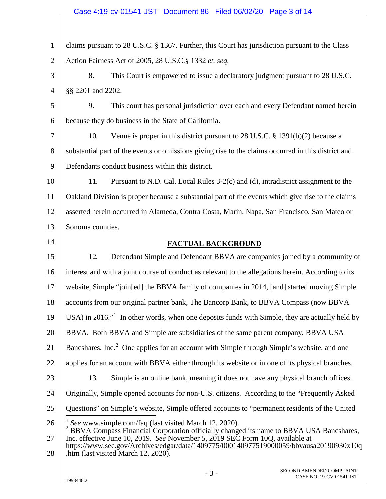## Case 4:19-cv-01541-JST Document 86 Filed 06/02/20 Page 3 of 14

<span id="page-2-1"></span><span id="page-2-0"></span>1 2 3 4 5 6 7 8 9 10 11 12 13 14 15 16 17 18 19 20 21 22 23 24 25 26 27 28 claims pursuant to 28 U.S.C. § 1367. Further, this Court has jurisdiction pursuant to the Class Action Fairness Act of 2005, 28 U.S.C.§ 1332 *et. seq.* 8. This Court is empowered to issue a declaratory judgment pursuant to 28 U.S.C. §§ 2201 and 2202. 9. This court has personal jurisdiction over each and every Defendant named herein because they do business in the State of California. 10. Venue is proper in this district pursuant to 28 U.S.C. § 1391(b)(2) because a substantial part of the events or omissions giving rise to the claims occurred in this district and Defendants conduct business within this district. 11. Pursuant to N.D. Cal. Local Rules 3-2(c) and (d), intradistrict assignment to the Oakland Division is proper because a substantial part of the events which give rise to the claims asserted herein occurred in Alameda, Contra Costa, Marin, Napa, San Francisco, San Mateo or Sonoma counties. **FACTUAL BACKGROUND** 12. Defendant Simple and Defendant BBVA are companies joined by a community of interest and with a joint course of conduct as relevant to the allegations herein. According to its website, Simple "join[ed] the BBVA family of companies in 2014, [and] started moving Simple accounts from our original partner bank, The Bancorp Bank, to BBVA Compass (now BBVA USA) in 20[1](#page-2-0)6. $\cdot$ <sup>1</sup> In other words, when one deposits funds with Simple, they are actually held by BBVA. Both BBVA and Simple are subsidiaries of the same parent company, BBVA USA Bancshares, Inc.<sup>[2](#page-2-1)</sup> One applies for an account with Simple through Simple's website, and one applies for an account with BBVA either through its website or in one of its physical branches. 13. Simple is an online bank, meaning it does not have any physical branch offices. Originally, Simple opened accounts for non-U.S. citizens. According to the "Frequently Asked Questions" on Simple's website, Simple offered accounts to "permanent residents of the United <sup>1</sup> See www.simple.com/faq (last visited March 12, 2020).<br><sup>2</sup> BBVA Compass Financial Corporation officially changed its name to BBVA USA Bancshares, Inc. effective June 10, 2019. *See* November 5, 2019 SEC Form 10Q, available at https://www.sec.gov/Archives/edgar/data/1409775/000140977519000059/bbvausa20190930x10q .htm (last visited March 12, 2020). - 3 - SECOND AMENDED COMPLAINT  $\overline{a}$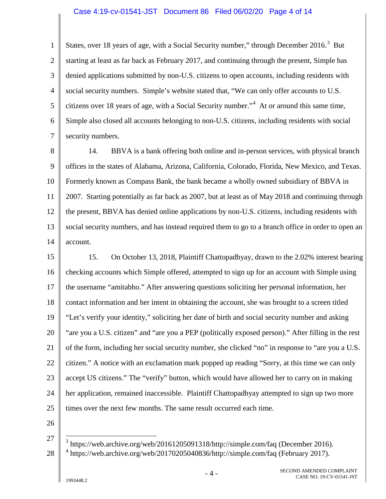## Case 4:19-cv-01541-JST Document 86 Filed 06/02/20 Page 4 of 14

1 2 3 4 5 6 7 States, over 18 years of age, with a Social Security number," through December 2016.<sup>[3](#page-3-0)</sup> But starting at least as far back as February 2017, and continuing through the present, Simple has denied applications submitted by non-U.S. citizens to open accounts, including residents with social security numbers. Simple's website stated that, "We can only offer accounts to U.S. citizens over 18 years of age, with a Social Security number."[4](#page-3-1) At or around this same time, Simple also closed all accounts belonging to non-U.S. citizens, including residents with social security numbers.

8 9 10 11 12 13 14 14. BBVA is a bank offering both online and in-person services, with physical branch offices in the states of Alabama, Arizona, California, Colorado, Florida, New Mexico, and Texas. Formerly known as Compass Bank, the bank became a wholly owned subsidiary of BBVA in 2007. Starting potentially as far back as 2007, but at least as of May 2018 and continuing through the present, BBVA has denied online applications by non-U.S. citizens, including residents with social security numbers, and has instead required them to go to a branch office in order to open an account.

15 16 17 18 19 20 21 22 23 24 25 15. On October 13, 2018, Plaintiff Chattopadhyay, drawn to the 2.02% interest bearing checking accounts which Simple offered, attempted to sign up for an account with Simple using the username "amitabho." After answering questions soliciting her personal information, her contact information and her intent in obtaining the account, she was brought to a screen titled "Let's verify your identity," soliciting her date of birth and social security number and asking "are you a U.S. citizen" and "are you a PEP (politically exposed person)." After filling in the rest of the form, including her social security number, she clicked "no" in response to "are you a U.S. citizen." A notice with an exclamation mark popped up reading "Sorry, at this time we can only accept US citizens." The "verify" button, which would have allowed her to carry on in making her application, remained inaccessible. Plaintiff Chattopadhyay attempted to sign up two more times over the next few months. The same result occurred each time.

26

27

 $\overline{a}$ 

<span id="page-3-1"></span><span id="page-3-0"></span><sup>28</sup> <sup>3</sup> https://web.archive.org/web/20161205091318/http://simple.com/faq (December 2016).  $4 \text{ https://web.archive.org/web/20170205040836/http://simple.com/faq (February 2017).}$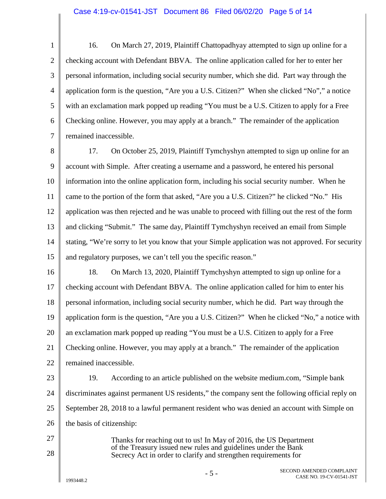1 2 3 4 5 6 7 16. On March 27, 2019, Plaintiff Chattopadhyay attempted to sign up online for a checking account with Defendant BBVA. The online application called for her to enter her personal information, including social security number, which she did. Part way through the application form is the question, "Are you a U.S. Citizen?" When she clicked "No"," a notice with an exclamation mark popped up reading "You must be a U.S. Citizen to apply for a Free Checking online. However, you may apply at a branch." The remainder of the application remained inaccessible.

8 9 10 11 12 13 14 15 17. On October 25, 2019, Plaintiff Tymchyshyn attempted to sign up online for an account with Simple. After creating a username and a password, he entered his personal information into the online application form, including his social security number. When he came to the portion of the form that asked, "Are you a U.S. Citizen?" he clicked "No." His application was then rejected and he was unable to proceed with filling out the rest of the form and clicking "Submit." The same day, Plaintiff Tymchyshyn received an email from Simple stating, "We're sorry to let you know that your Simple application was not approved. For security and regulatory purposes, we can't tell you the specific reason."

16 17 18 19 20 21 22 18. On March 13, 2020, Plaintiff Tymchyshyn attempted to sign up online for a checking account with Defendant BBVA. The online application called for him to enter his personal information, including social security number, which he did. Part way through the application form is the question, "Are you a U.S. Citizen?" When he clicked "No," a notice with an exclamation mark popped up reading "You must be a U.S. Citizen to apply for a Free Checking online. However, you may apply at a branch." The remainder of the application remained inaccessible.

23

27

28

24 25 26 19. According to an article published on the website medium.com, "Simple bank discriminates against permanent US residents," the company sent the following official reply on September 28, 2018 to a lawful permanent resident who was denied an account with Simple on the basis of citizenship:

> Thanks for reaching out to us! In May of 2016, the US Department of the Treasury issued new rules and guidelines under the Bank Secrecy Act in order to clarify and strengthen requirements for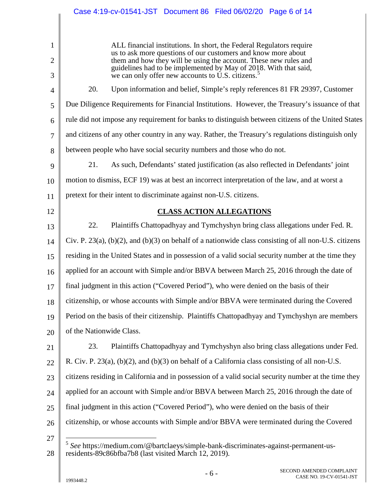<span id="page-5-0"></span>1 2 3 4 5 6 7 8 9 10 11 12 13 14 15 16 17 18 19 20 21 22 23 24 25 26 27 28 ALL financial institutions. In short, the Federal Regulators require us to ask more questions of our customers and know more about them and how they will be using the account. These new rules and guidelines had to be implemented by May of 2018. With that said, we can only offer new accounts to U.S. citizens.<sup>[5](#page-5-0)</sup> 20. Upon information and belief, Simple's reply references 81 FR 29397, Customer Due Diligence Requirements for Financial Institutions. However, the Treasury's issuance of that rule did not impose any requirement for banks to distinguish between citizens of the United States and citizens of any other country in any way. Rather, the Treasury's regulations distinguish only between people who have social security numbers and those who do not. 21. As such, Defendants' stated justification (as also reflected in Defendants' joint motion to dismiss, ECF 19) was at best an incorrect interpretation of the law, and at worst a pretext for their intent to discriminate against non-U.S. citizens. **CLASS ACTION ALLEGATIONS** 22. Plaintiffs Chattopadhyay and Tymchyshyn bring class allegations under Fed. R. Civ. P. 23(a),  $(b)(2)$ , and  $(b)(3)$  on behalf of a nationwide class consisting of all non-U.S. citizens residing in the United States and in possession of a valid social security number at the time they applied for an account with Simple and/or BBVA between March 25, 2016 through the date of final judgment in this action ("Covered Period"), who were denied on the basis of their citizenship, or whose accounts with Simple and/or BBVA were terminated during the Covered Period on the basis of their citizenship. Plaintiffs Chattopadhyay and Tymchyshyn are members of the Nationwide Class. 23. Plaintiffs Chattopadhyay and Tymchyshyn also bring class allegations under Fed. R. Civ. P. 23(a), (b)(2), and (b)(3) on behalf of a California class consisting of all non-U.S. citizens residing in California and in possession of a valid social security number at the time they applied for an account with Simple and/or BBVA between March 25, 2016 through the date of final judgment in this action ("Covered Period"), who were denied on the basis of their citizenship, or whose accounts with Simple and/or BBVA were terminated during the Covered <sup>5</sup> *See* https://medium.com/@bartclaeys/simple-bank-discriminates-against-permanent-usresidents-89c86bfba7b8 (last visited March 12, 2019).  $\overline{a}$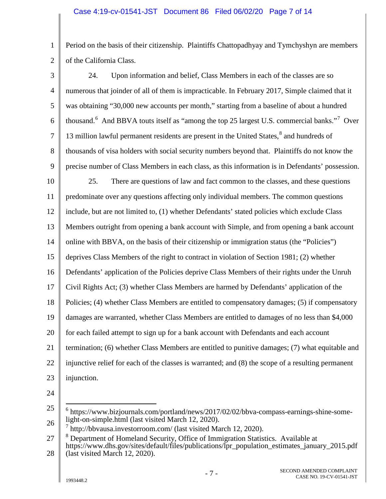1 2 Period on the basis of their citizenship. Plaintiffs Chattopadhyay and Tymchyshyn are members of the California Class.

3 4 5 6 7 8 9 24. Upon information and belief, Class Members in each of the classes are so numerous that joinder of all of them is impracticable. In February 2017, Simple claimed that it was obtaining "30,000 new accounts per month," starting from a baseline of about a hundred thousand.<sup>[6](#page-6-0)</sup> And BBVA touts itself as "among the top 25 largest U.S. commercial banks."<sup>[7](#page-6-1)</sup> Over 13 million lawful permanent residents are present in the United States, [8](#page-6-2) and hundreds of thousands of visa holders with social security numbers beyond that. Plaintiffs do not know the precise number of Class Members in each class, as this information is in Defendants' possession.

10 11 12 13 14 15 16 17 18 19 20 21 22 23 25. There are questions of law and fact common to the classes, and these questions predominate over any questions affecting only individual members. The common questions include, but are not limited to, (1) whether Defendants' stated policies which exclude Class Members outright from opening a bank account with Simple, and from opening a bank account online with BBVA, on the basis of their citizenship or immigration status (the "Policies") deprives Class Members of the right to contract in violation of Section 1981; (2) whether Defendants' application of the Policies deprive Class Members of their rights under the Unruh Civil Rights Act; (3) whether Class Members are harmed by Defendants' application of the Policies; (4) whether Class Members are entitled to compensatory damages; (5) if compensatory damages are warranted, whether Class Members are entitled to damages of no less than \$4,000 for each failed attempt to sign up for a bank account with Defendants and each account termination; (6) whether Class Members are entitled to punitive damages; (7) what equitable and injunctive relief for each of the classes is warranted; and (8) the scope of a resulting permanent injunction.

24

 $\overline{a}$ 

<span id="page-6-0"></span><sup>25</sup> 26 <sup>6</sup> https://www.bizjournals.com/portland/news/2017/02/02/bbva-compass-earnings-shine-somelight-on-simple.html (last visited March 12, 2020).

 $^7$  http://bbvausa.investorroom.com/ (last visited March 12, 2020).

<span id="page-6-2"></span><span id="page-6-1"></span><sup>27</sup> 28 <sup>8</sup> Department of Homeland Security, Office of Immigration Statistics. Available at https://www.dhs.gov/sites/default/files/publications/lpr\_population\_estimates\_january\_2015.pdf (last visited March 12, 2020).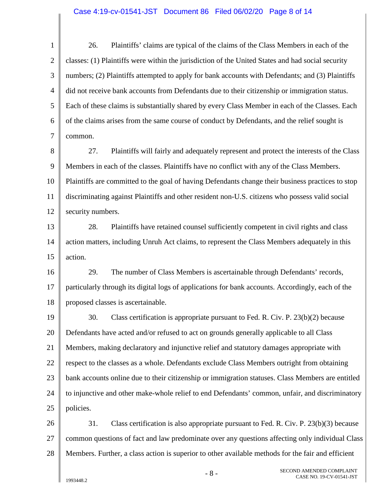## Case 4:19-cv-01541-JST Document 86 Filed 06/02/20 Page 8 of 14

1 2 3 4 5 6 7 26. Plaintiffs' claims are typical of the claims of the Class Members in each of the classes: (1) Plaintiffs were within the jurisdiction of the United States and had social security numbers; (2) Plaintiffs attempted to apply for bank accounts with Defendants; and (3) Plaintiffs did not receive bank accounts from Defendants due to their citizenship or immigration status. Each of these claims is substantially shared by every Class Member in each of the Classes. Each of the claims arises from the same course of conduct by Defendants, and the relief sought is common.

8 9 10 11 12 27. Plaintiffs will fairly and adequately represent and protect the interests of the Class Members in each of the classes. Plaintiffs have no conflict with any of the Class Members. Plaintiffs are committed to the goal of having Defendants change their business practices to stop discriminating against Plaintiffs and other resident non-U.S. citizens who possess valid social security numbers.

13 14 15 28. Plaintiffs have retained counsel sufficiently competent in civil rights and class action matters, including Unruh Act claims, to represent the Class Members adequately in this action.

16 17 18 29. The number of Class Members is ascertainable through Defendants' records, particularly through its digital logs of applications for bank accounts. Accordingly, each of the proposed classes is ascertainable.

19 20 21 22 23 24 25 30. Class certification is appropriate pursuant to Fed. R. Civ. P. 23(b)(2) because Defendants have acted and/or refused to act on grounds generally applicable to all Class Members, making declaratory and injunctive relief and statutory damages appropriate with respect to the classes as a whole. Defendants exclude Class Members outright from obtaining bank accounts online due to their citizenship or immigration statuses. Class Members are entitled to injunctive and other make-whole relief to end Defendants' common, unfair, and discriminatory policies.

26 27 28 31. Class certification is also appropriate pursuant to Fed. R. Civ. P. 23(b)(3) because common questions of fact and law predominate over any questions affecting only individual Class Members. Further, a class action is superior to other available methods for the fair and efficient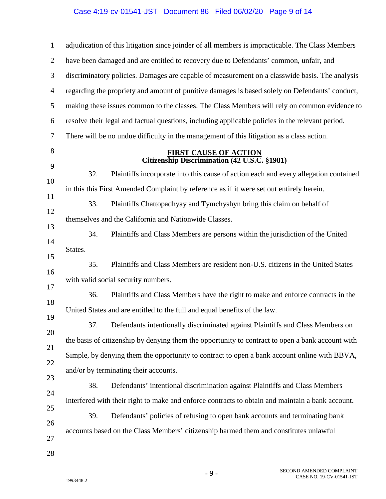| $\mathbf{1}$   | adjudication of this litigation since joinder of all members is impracticable. The Class Members |
|----------------|--------------------------------------------------------------------------------------------------|
| $\overline{2}$ | have been damaged and are entitled to recovery due to Defendants' common, unfair, and            |
| 3              | discriminatory policies. Damages are capable of measurement on a classwide basis. The analysis   |
| $\overline{4}$ | regarding the propriety and amount of punitive damages is based solely on Defendants' conduct,   |
| 5              | making these issues common to the classes. The Class Members will rely on common evidence to     |
| 6              | resolve their legal and factual questions, including applicable policies in the relevant period. |
| 7              | There will be no undue difficulty in the management of this litigation as a class action.        |
| 8              | <b>FIRST CAUSE OF ACTION</b><br>Citizenship Discrimination (42 U.S.C. §1981)                     |
| 9              | 32.<br>Plaintiffs incorporate into this cause of action each and every allegation contained      |
| 10             | in this this First Amended Complaint by reference as if it were set out entirely herein.         |
| 11             | 33.<br>Plaintiffs Chattopadhyay and Tymchyshyn bring this claim on behalf of                     |
| 12             | themselves and the California and Nationwide Classes.                                            |
| 13             | 34.<br>Plaintiffs and Class Members are persons within the jurisdiction of the United            |
| 14<br>15       | States.                                                                                          |
| 16             | 35.<br>Plaintiffs and Class Members are resident non-U.S. citizens in the United States          |
| 17             | with valid social security numbers.                                                              |
| 18             | 36.<br>Plaintiffs and Class Members have the right to make and enforce contracts in the          |
| 19             | United States and are entitled to the full and equal benefits of the law.                        |
| 20             | Defendants intentionally discriminated against Plaintiffs and Class Members on<br>37.            |
| 21             | the basis of citizenship by denying them the opportunity to contract to open a bank account with |
| 22             | Simple, by denying them the opportunity to contract to open a bank account online with BBVA,     |
| 23             | and/or by terminating their accounts.                                                            |
| 24             | 38.<br>Defendants' intentional discrimination against Plaintiffs and Class Members               |
| 25             | interfered with their right to make and enforce contracts to obtain and maintain a bank account. |
| 26             | 39.<br>Defendants' policies of refusing to open bank accounts and terminating bank               |
| 27             | accounts based on the Class Members' citizenship harmed them and constitutes unlawful            |
| 28             |                                                                                                  |
|                |                                                                                                  |

 $\parallel$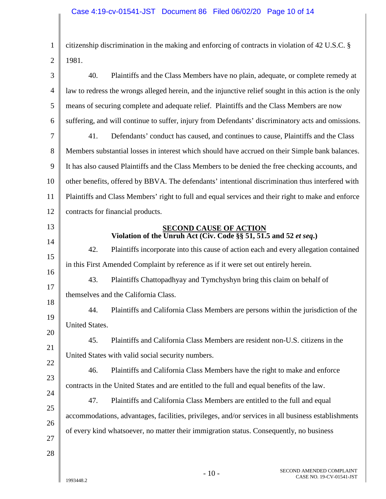1 2 citizenship discrimination in the making and enforcing of contracts in violation of 42 U.S.C. § 1981.

| 3        | 40.<br>Plaintiffs and the Class Members have no plain, adequate, or complete remedy at                |
|----------|-------------------------------------------------------------------------------------------------------|
| 4        | law to redress the wrongs alleged herein, and the injunctive relief sought in this action is the only |
| 5        | means of securing complete and adequate relief. Plaintiffs and the Class Members are now              |
| 6        | suffering, and will continue to suffer, injury from Defendants' discriminatory acts and omissions.    |
| 7        | 41.<br>Defendants' conduct has caused, and continues to cause, Plaintiffs and the Class               |
| 8        | Members substantial losses in interest which should have accrued on their Simple bank balances.       |
| 9        | It has also caused Plaintiffs and the Class Members to be denied the free checking accounts, and      |
| 10       | other benefits, offered by BBVA. The defendants' intentional discrimination thus interfered with      |
| 11       | Plaintiffs and Class Members' right to full and equal services and their right to make and enforce    |
| 12       | contracts for financial products.                                                                     |
| 13       | <b>SECOND CAUSE OF ACTION</b><br>Violation of the Unruh Act (Civ. Code §§ 51, 51.5 and 52 et seq.)    |
| 14       | 42.<br>Plaintiffs incorporate into this cause of action each and every allegation contained           |
| 15       | in this First Amended Complaint by reference as if it were set out entirely herein.                   |
| 16       | 43.<br>Plaintiffs Chattopadhyay and Tymchyshyn bring this claim on behalf of                          |
| 17<br>18 | themselves and the California Class.                                                                  |
| 19       | Plaintiffs and California Class Members are persons within the jurisdiction of the<br>44.             |
| 20       | United States.                                                                                        |
| 21       | 45.<br>Plaintiffs and California Class Members are resident non-U.S. citizens in the                  |
| 22       | United States with valid social security numbers.                                                     |
| 23       | 46.<br>Plaintiffs and California Class Members have the right to make and enforce                     |
| 24       | contracts in the United States and are entitled to the full and equal benefits of the law.            |
| 25       | 47.<br>Plaintiffs and California Class Members are entitled to the full and equal                     |
| 26       | accommodations, advantages, facilities, privileges, and/or services in all business establishments    |
| 27       | of every kind whatsoever, no matter their immigration status. Consequently, no business               |
| 28       |                                                                                                       |
|          |                                                                                                       |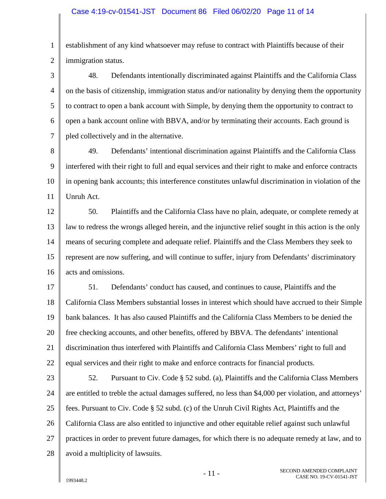1 2 establishment of any kind whatsoever may refuse to contract with Plaintiffs because of their immigration status.

3 4 5 6 7 48. Defendants intentionally discriminated against Plaintiffs and the California Class on the basis of citizenship, immigration status and/or nationality by denying them the opportunity to contract to open a bank account with Simple, by denying them the opportunity to contract to open a bank account online with BBVA, and/or by terminating their accounts. Each ground is pled collectively and in the alternative.

8 9 10 11 49. Defendants' intentional discrimination against Plaintiffs and the California Class interfered with their right to full and equal services and their right to make and enforce contracts in opening bank accounts; this interference constitutes unlawful discrimination in violation of the Unruh Act.

12 13 14 15 16 50. Plaintiffs and the California Class have no plain, adequate, or complete remedy at law to redress the wrongs alleged herein, and the injunctive relief sought in this action is the only means of securing complete and adequate relief. Plaintiffs and the Class Members they seek to represent are now suffering, and will continue to suffer, injury from Defendants' discriminatory acts and omissions.

17 18 19 20 21 22 51. Defendants' conduct has caused, and continues to cause, Plaintiffs and the California Class Members substantial losses in interest which should have accrued to their Simple bank balances. It has also caused Plaintiffs and the California Class Members to be denied the free checking accounts, and other benefits, offered by BBVA. The defendants' intentional discrimination thus interfered with Plaintiffs and California Class Members' right to full and equal services and their right to make and enforce contracts for financial products.

23 24 25 26 27 28 52. Pursuant to Civ. Code § 52 subd. (a), Plaintiffs and the California Class Members are entitled to treble the actual damages suffered, no less than \$4,000 per violation, and attorneys' fees. Pursuant to Civ. Code § 52 subd. (c) of the Unruh Civil Rights Act, Plaintiffs and the California Class are also entitled to injunctive and other equitable relief against such unlawful practices in order to prevent future damages, for which there is no adequate remedy at law, and to avoid a multiplicity of lawsuits.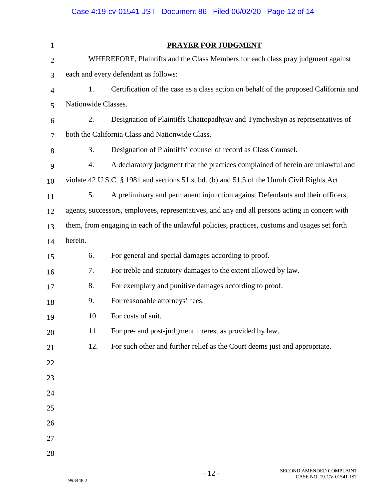|                |                                                                                                | Case 4:19-cv-01541-JST Document 86 Filed 06/02/20 Page 12 of 14                            |  |  |  |
|----------------|------------------------------------------------------------------------------------------------|--------------------------------------------------------------------------------------------|--|--|--|
|                |                                                                                                |                                                                                            |  |  |  |
| $\mathbf{1}$   |                                                                                                | <b>PRAYER FOR JUDGMENT</b>                                                                 |  |  |  |
| $\overline{c}$ |                                                                                                | WHEREFORE, Plaintiffs and the Class Members for each class pray judgment against           |  |  |  |
| 3              | each and every defendant as follows:                                                           |                                                                                            |  |  |  |
| 4              | Certification of the case as a class action on behalf of the proposed California and<br>1.     |                                                                                            |  |  |  |
| 5              | Nationwide Classes.                                                                            |                                                                                            |  |  |  |
| 6              | Designation of Plaintiffs Chattopadhyay and Tymchyshyn as representatives of<br>2.             |                                                                                            |  |  |  |
| 7              | both the California Class and Nationwide Class.                                                |                                                                                            |  |  |  |
| 8              | 3.                                                                                             | Designation of Plaintiffs' counsel of record as Class Counsel.                             |  |  |  |
| 9              | 4.                                                                                             | A declaratory judgment that the practices complained of herein are unlawful and            |  |  |  |
| 10             |                                                                                                | violate 42 U.S.C. § 1981 and sections 51 subd. (b) and 51.5 of the Unruh Civil Rights Act. |  |  |  |
| 11             | 5.                                                                                             | A preliminary and permanent injunction against Defendants and their officers,              |  |  |  |
| 12             | agents, successors, employees, representatives, and any and all persons acting in concert with |                                                                                            |  |  |  |
| 13             | them, from engaging in each of the unlawful policies, practices, customs and usages set forth  |                                                                                            |  |  |  |
| 14             | herein.                                                                                        |                                                                                            |  |  |  |
| 15             | 6.                                                                                             | For general and special damages according to proof.                                        |  |  |  |
| 16             | 7.                                                                                             | For treble and statutory damages to the extent allowed by law.                             |  |  |  |
| 17             | 8.                                                                                             | For exemplary and punitive damages according to proof.                                     |  |  |  |
| 18             | 9.                                                                                             | For reasonable attorneys' fees.                                                            |  |  |  |
| 19             | 10.                                                                                            | For costs of suit.                                                                         |  |  |  |
| 20             | 11.                                                                                            | For pre- and post-judgment interest as provided by law.                                    |  |  |  |
| 21             | 12.                                                                                            | For such other and further relief as the Court deems just and appropriate.                 |  |  |  |
| 22             |                                                                                                |                                                                                            |  |  |  |
| 23             |                                                                                                |                                                                                            |  |  |  |
| 24             |                                                                                                |                                                                                            |  |  |  |
| 25             |                                                                                                |                                                                                            |  |  |  |
| 26             |                                                                                                |                                                                                            |  |  |  |
| 27             |                                                                                                |                                                                                            |  |  |  |
| 28             |                                                                                                |                                                                                            |  |  |  |
|                |                                                                                                | SECOND AMENDED COMPLAINT<br>12                                                             |  |  |  |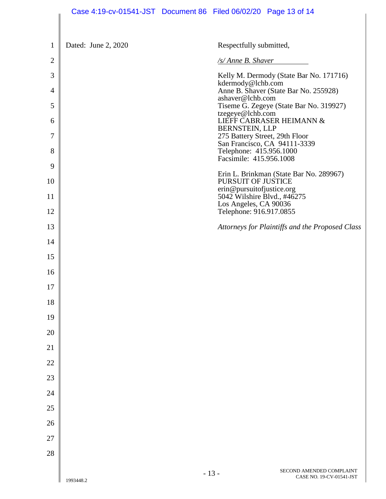|                | Case 4:19-cv-01541-JST Document 86 Filed 06/02/20 Page 13 of 14 |                                                      |                                                      |
|----------------|-----------------------------------------------------------------|------------------------------------------------------|------------------------------------------------------|
|                |                                                                 |                                                      |                                                      |
| $\mathbf{1}$   | Dated: June 2, 2020                                             | Respectfully submitted,                              |                                                      |
| $\overline{2}$ |                                                                 | /s/ Anne B. Shaver                                   |                                                      |
| 3              |                                                                 | kdermody@lchb.com                                    | Kelly M. Dermody (State Bar No. 171716)              |
| $\overline{4}$ |                                                                 | ashaver@lchb.com                                     | Anne B. Shaver (State Bar No. 255928)                |
| 5              |                                                                 | tzegeye@lchb.com                                     | Tiseme G. Zegeye (State Bar No. 319927)              |
| 6              |                                                                 | <b>BERNSTEIN, LLP</b>                                | LIEFF CABRASER HEIMANN &                             |
| 7              |                                                                 | 275 Battery Street, 29th Floor                       | San Francisco, CA 94111-3339                         |
| 8              |                                                                 | Telephone: 415.956.1000<br>Facsimile: 415.956.1008   |                                                      |
| 9              |                                                                 |                                                      | Erin L. Brinkman (State Bar No. 289967)              |
| 10             |                                                                 | PURSUIT OF JUSTICE<br>erin@pursuitofjustice.org      |                                                      |
| 11             |                                                                 | 5042 Wilshire Blvd., #46275<br>Los Angeles, CA 90036 |                                                      |
| 12             |                                                                 | Telephone: 916.917.0855                              |                                                      |
| 13             |                                                                 |                                                      | Attorneys for Plaintiffs and the Proposed Class      |
| 14             |                                                                 |                                                      |                                                      |
| 15             |                                                                 |                                                      |                                                      |
| 16             |                                                                 |                                                      |                                                      |
| 17             |                                                                 |                                                      |                                                      |
| 18             |                                                                 |                                                      |                                                      |
| 19             |                                                                 |                                                      |                                                      |
| 20             |                                                                 |                                                      |                                                      |
| 21             |                                                                 |                                                      |                                                      |
| 22             |                                                                 |                                                      |                                                      |
| 23             |                                                                 |                                                      |                                                      |
| 24             |                                                                 |                                                      |                                                      |
| 25             |                                                                 |                                                      |                                                      |
| 26             |                                                                 |                                                      |                                                      |
| 27             |                                                                 |                                                      |                                                      |
| 28             |                                                                 |                                                      |                                                      |
|                | 1993448.2                                                       | $-13-$                                               | SECOND AMENDED COMPLAINT<br>CASE NO. 19-CV-01541-JST |